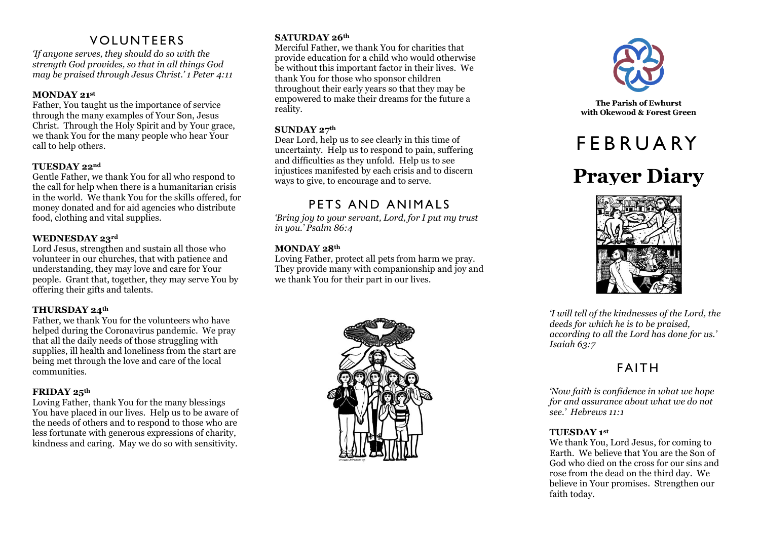# **VOLUNTEERS**

*'If anyone serves, they should do so with the strength God provides, so that in all things God may be praised through Jesus Christ.' 1 Peter 4:11*

## **MONDAY 21st**

Father, You taught us the importance of service through the many examples of Your Son, Jesus Christ. Through the Holy Spirit and by Your grace, we thank You for the many people who hear Your call to help others.

## **TUESDAY 22nd**

Gentle Father, we thank You for all who respond to the call for help when there is a humanitarian crisis in the world. We thank You for the skills offered, for money donated and for aid agencies who distribute food, clothing and vital supplies.

## **WEDNESDAY 23rd**

Lord Jesus, strengthen and sustain all those who volunteer in our churches, that with patience and understanding, they may love and care for Your people. Grant that, together, they may serve You by offering their gifts and talents.

## **THURSDAY 24th**

Father, we thank You for the volunteers who have helped during the Coronavirus pandemic. We pray that all the daily needs of those struggling with supplies, ill health and loneliness from the start are being met through the love and care of the local communities.

## **FRIDAY 25th**

Loving Father, thank You for the many blessings You have placed in our lives. Help us to be aware of the needs of others and to respond to those who are less fortunate with generous expressions of charity, kindness and caring. May we do so with sensitivity.

## **SATURDAY 26th**

Merciful Father, we thank You for charities that provide education for a child who would otherwise be without this important factor in their lives. We thank You for those who sponsor children throughout their early years so that they may be empowered to make their dreams for the future a reality.

## **SUNDAY 27th**

Dear Lord, help us to see clearly in this time of uncertainty. Help us to respond to pain, suffering and difficulties as they unfold. Help us to see injustices manifested by each crisis and to discern ways to give, to encourage and to serve.

# PETS AND ANIMALS

*'Bring joy to your servant, Lord, for I put my trust in you.' Psalm 86:4*

## **MONDAY 28th**

Loving Father, protect all pets from harm we pray. They provide many with companionship and joy and we thank You for their part in our lives.





**The Parish of Ewhurst** with Okewood & Forest Green

# **FFBRUARY**

# **Prayer Diary**



*'I will tell of the kindnesses of the Lord, the deeds for which he is to be praised, according to all the Lord has done for us.' Isaiah 63:7*

# **FAITH**

*'Now faith is confidence in what we hope for and assurance about what we do not see.' Hebrews 11:1*

## **TUESDAY 1st**

We thank You, Lord Jesus, for coming to Earth. We believe that You are the Son of God who died on the cross for our sins and rose from the dead on the third day. We believe in Your promises. Strengthen our faith today.